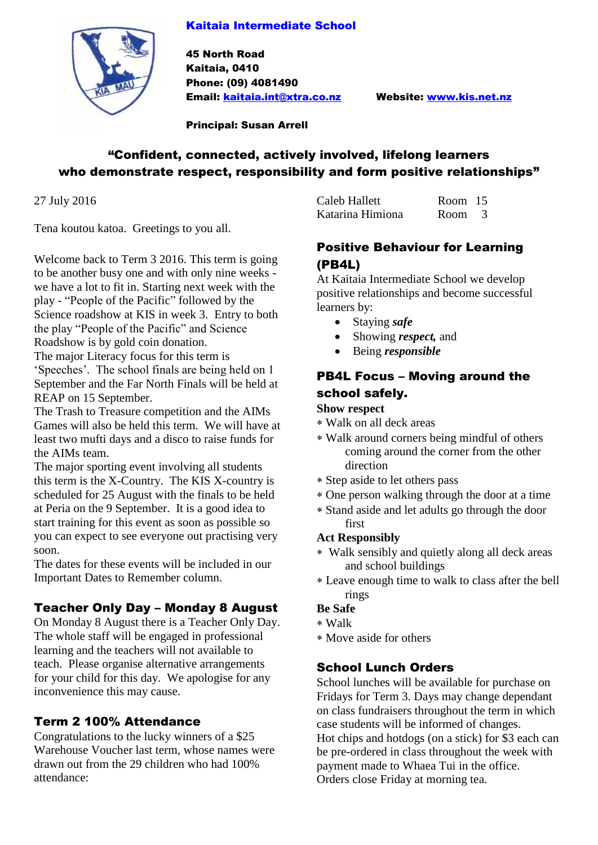#### Kaitaia Intermediate School



45 North Road Kaitaia, 0410 Phone: (09) 4081490 Email: [kaitaia.int@xtra.co.nz](mailto:kaitaia.int@xtra.co.nz) Website: [www.kis.net.nz](http://www.kis.net.nz/)

Principal: Susan Arrell

# "Confident, connected, actively involved, lifelong learners who demonstrate respect, responsibility and form positive relationships"

27 July 2016

Tena koutou katoa. Greetings to you all.

Welcome back to Term 3 2016. This term is going to be another busy one and with only nine weeks we have a lot to fit in. Starting next week with the play - "People of the Pacific" followed by the Science roadshow at KIS in week 3. Entry to both the play "People of the Pacific" and Science Roadshow is by gold coin donation.

The major Literacy focus for this term is 'Speeches'. The school finals are being held on 1 September and the Far North Finals will be held at REAP on 15 September.

The Trash to Treasure competition and the AIMs Games will also be held this term. We will have at least two mufti days and a disco to raise funds for the AIMs team.

The major sporting event involving all students this term is the X-Country. The KIS X-country is scheduled for 25 August with the finals to be held at Peria on the 9 September. It is a good idea to start training for this event as soon as possible so you can expect to see everyone out practising very soon.

The dates for these events will be included in our Important Dates to Remember column.

# Teacher Only Day – Monday 8 August

On Monday 8 August there is a Teacher Only Day. The whole staff will be engaged in professional learning and the teachers will not available to teach. Please organise alternative arrangements for your child for this day. We apologise for any inconvenience this may cause.

## Term 2 100% Attendance

Congratulations to the lucky winners of a \$25 Warehouse Voucher last term, whose names were drawn out from the 29 children who had 100% attendance:

| Caleb Hallett    | Room 15 |  |
|------------------|---------|--|
| Katarina Himiona | Room 3  |  |

## Positive Behaviour for Learning (PB4L)

At Kaitaia Intermediate School we develop positive relationships and become successful learners by:

- Staying *safe*
- Showing *respect,* and
- Being *responsible*

## PB4L Focus – Moving around the school safely.

#### **Show respect**

- Walk on all deck areas
- Walk around corners being mindful of others coming around the corner from the other direction
- Step aside to let others pass
- One person walking through the door at a time
- Stand aside and let adults go through the door first

### **Act Responsibly**

- Walk sensibly and quietly along all deck areas and school buildings
- Leave enough time to walk to class after the bell rings

### **Be Safe**

- Walk
- Move aside for others

## School Lunch Orders

School lunches will be available for purchase on Fridays for Term 3. Days may change dependant on class fundraisers throughout the term in which case students will be informed of changes. Hot chips and hotdogs (on a stick) for \$3 each can be pre-ordered in class throughout the week with payment made to Whaea Tui in the office. Orders close Friday at morning tea.